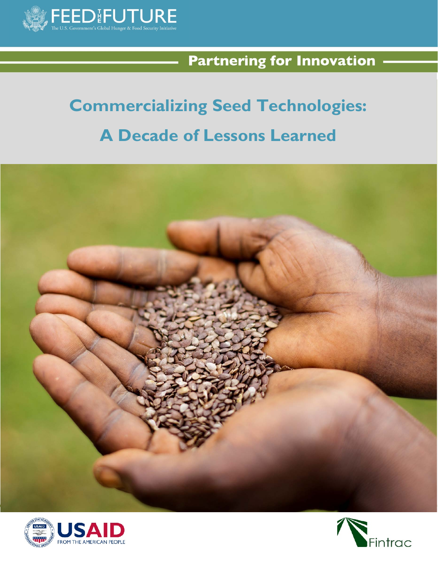

# **Partnering for Innovation -**

# **Commercializing Seed Technologies: A Decade of Lessons Learned**





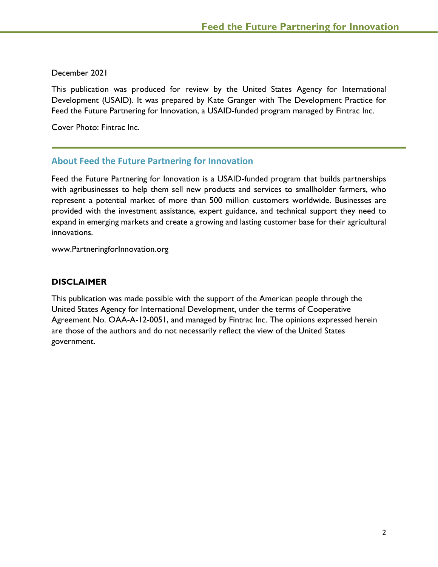December 2021

This publication was produced for review by the United States Agency for International Development (USAID). It was prepared by Kate Granger with The Development Practice for Feed the Future Partnering for Innovation, a USAID-funded program managed by Fintrac Inc.

Cover Photo: Fintrac Inc.

# **About Feed the Future Partnering for Innovation**

Feed the Future Partnering for Innovation is a USAID-funded program that builds partnerships with agribusinesses to help them sell new products and services to smallholder farmers, who represent a potential market of more than 500 million customers worldwide. Businesses are provided with the investment assistance, expert guidance, and technical support they need to expand in emerging markets and create a growing and lasting customer base for their agricultural innovations.

www.PartneringforInnovation.org

# **DISCLAIMER**

This publication was made possible with the support of the American people through the United States Agency for International Development, under the terms of Cooperative Agreement No. OAA-A-12-0051, and managed by Fintrac Inc. The opinions expressed herein are those of the authors and do not necessarily reflect the view of the United States government.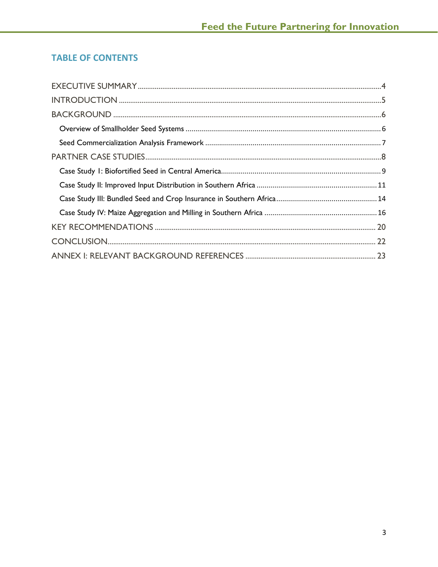# **TABLE OF CONTENTS**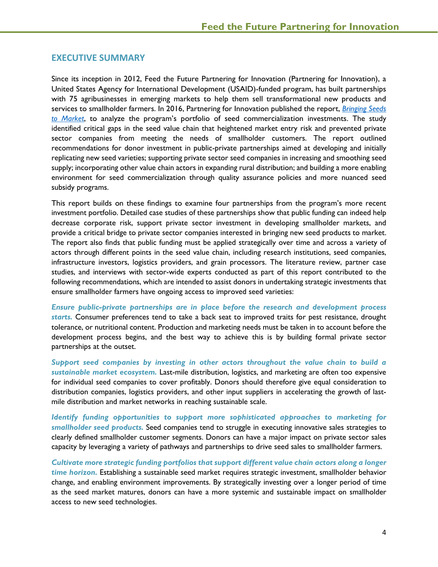# <span id="page-3-0"></span>**EXECUTIVE SUMMARY**

Since its inception in 2012, Feed the Future Partnering for Innovation (Partnering for Innovation), a United States Agency for International Development (USAID)-funded program, has built partnerships with 75 agribusinesses in emerging markets to help them sell transformational new products and services to smallholder farmers. In 2016, Partnering for Innovation published the report, *[Bringing Seeds](https://static1.squarespace.com/static/5a7b7b36d55b416e7a7bcd2b/t/5be4a9ee1ae6cf174185a6d7/1541712368451/Cross-Partner+Seed+Sector+Study_public.pdf)  [to Market](https://static1.squarespace.com/static/5a7b7b36d55b416e7a7bcd2b/t/5be4a9ee1ae6cf174185a6d7/1541712368451/Cross-Partner+Seed+Sector+Study_public.pdf)*, to analyze the program's portfolio of seed commercialization investments. The study identified critical gaps in the seed value chain that heightened market entry risk and prevented private sector companies from meeting the needs of smallholder customers. The report outlined recommendations for donor investment in public-private partnerships aimed at developing and initially replicating new seed varieties; supporting private sector seed companies in increasing and smoothing seed supply; incorporating other value chain actors in expanding rural distribution; and building a more enabling environment for seed commercialization through quality assurance policies and more nuanced seed subsidy programs.

This report builds on these findings to examine four partnerships from the program's more recent investment portfolio. Detailed case studies of these partnerships show that public funding can indeed help decrease corporate risk, support private sector investment in developing smallholder markets, and provide a critical bridge to private sector companies interested in bringing new seed products to market. The report also finds that public funding must be applied strategically over time and across a variety of actors through different points in the seed value chain, including research institutions, seed companies, infrastructure investors, logistics providers, and grain processors. The literature review, partner case studies, and interviews with sector-wide experts conducted as part of this report contributed to the following recommendations, which are intended to assist donors in undertaking strategic investments that ensure smallholder farmers have ongoing access to improved seed varieties:

*Ensure public-private partnerships are in place before the research and development process starts.* Consumer preferences tend to take a back seat to improved traits for pest resistance, drought tolerance, or nutritional content. Production and marketing needs must be taken in to account before the development process begins, and the best way to achieve this is by building formal private sector partnerships at the outset.

*Support seed companies by investing in other actors throughout the value chain to build a sustainable market ecosystem.* Last-mile distribution, logistics, and marketing are often too expensive for individual seed companies to cover profitably. Donors should therefore give equal consideration to distribution companies, logistics providers, and other input suppliers in accelerating the growth of lastmile distribution and market networks in reaching sustainable scale.

*Identify funding opportunities to support more sophisticated approaches to marketing for smallholder seed products.* Seed companies tend to struggle in executing innovative sales strategies to clearly defined smallholder customer segments. Donors can have a major impact on private sector sales capacity by leveraging a variety of pathways and partnerships to drive seed sales to smallholder farmers.

*Cultivate more strategic funding portfolios that support different value chain actors along a longer time horizon.* Establishing a sustainable seed market requires strategic investment, smallholder behavior change, and enabling environment improvements. By strategically investing over a longer period of time as the seed market matures, donors can have a more systemic and sustainable impact on smallholder access to new seed technologies.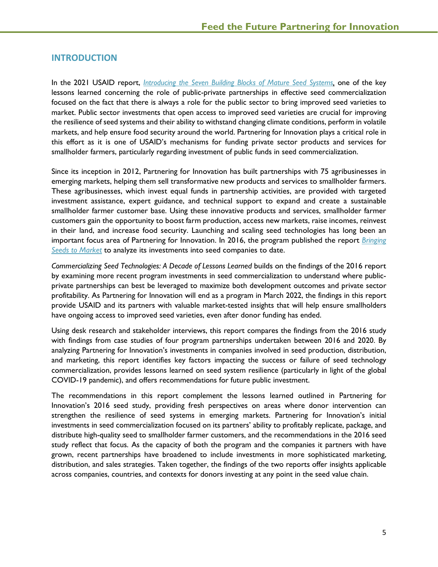# <span id="page-4-0"></span>**INTRODUCTION**

In the 2021 USAID report, *[Introducing the Seven Building Blocks of Mature Seed Systems,](https://agrilinks.org/post/introducing-seven-building-blocks-mature-seed-systems)* one of the key lessons learned concerning the role of public-private partnerships in effective seed commercialization focused on the fact that there is always a role for the public sector to bring improved seed varieties to market. Public sector investments that open access to improved seed varieties are crucial for improving the resilience of seed systems and their ability to withstand changing climate conditions, perform in volatile markets, and help ensure food security around the world. Partnering for Innovation plays a critical role in this effort as it is one of USAID's mechanisms for funding private sector products and services for smallholder farmers, particularly regarding investment of public funds in seed commercialization.

Since its inception in 2012, Partnering for Innovation has built partnerships with 75 agribusinesses in emerging markets, helping them sell transformative new products and services to smallholder farmers. These agribusinesses, which invest equal funds in partnership activities, are provided with targeted investment assistance, expert guidance, and technical support to expand and create a sustainable smallholder farmer customer base. Using these innovative products and services, smallholder farmer customers gain the opportunity to boost farm production, access new markets, raise incomes, reinvest in their land, and increase food security. Launching and scaling seed technologies has long been an important focus area of Partnering for Innovation. In 2016, the program published the report *[Bringing](https://static1.squarespace.com/static/5a7b7b36d55b416e7a7bcd2b/t/5be4a9ee1ae6cf174185a6d7/1541712368451/Cross-Partner+Seed+Sector+Study_public.pdf)  [Seeds to Market](https://static1.squarespace.com/static/5a7b7b36d55b416e7a7bcd2b/t/5be4a9ee1ae6cf174185a6d7/1541712368451/Cross-Partner+Seed+Sector+Study_public.pdf)* to analyze its investments into seed companies to date.

*Commercializing Seed Technologies: A Decade of Lessons Learned* builds on the findings of the 2016 report by examining more recent program investments in seed commercialization to understand where publicprivate partnerships can best be leveraged to maximize both development outcomes and private sector profitability. As Partnering for Innovation will end as a program in March 2022, the findings in this report provide USAID and its partners with valuable market-tested insights that will help ensure smallholders have ongoing access to improved seed varieties, even after donor funding has ended.

Using desk research and stakeholder interviews, this report compares the findings from the 2016 study with findings from case studies of four program partnerships undertaken between 2016 and 2020. By analyzing Partnering for Innovation's investments in companies involved in seed production, distribution, and marketing, this report identifies key factors impacting the success or failure of seed technology commercialization, provides lessons learned on seed system resilience (particularly in light of the global COVID-19 pandemic), and offers recommendations for future public investment.

The recommendations in this report complement the lessons learned outlined in Partnering for Innovation's 2016 seed study, providing fresh perspectives on areas where donor intervention can strengthen the resilience of seed systems in emerging markets. Partnering for Innovation's initial investments in seed commercialization focused on its partners' ability to profitably replicate, package, and distribute high-quality seed to smallholder farmer customers, and the recommendations in the 2016 seed study reflect that focus. As the capacity of both the program and the companies it partners with have grown, recent partnerships have broadened to include investments in more sophisticated marketing, distribution, and sales strategies. Taken together, the findings of the two reports offer insights applicable across companies, countries, and contexts for donors investing at any point in the seed value chain.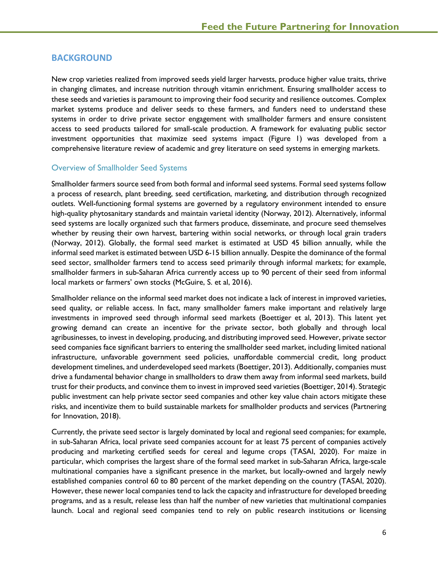# <span id="page-5-0"></span>**BACKGROUND**

New crop varieties realized from improved seeds yield larger harvests, produce higher value traits, thrive in changing climates, and increase nutrition through vitamin enrichment. Ensuring smallholder access to these seeds and varieties is paramount to improving their food security and resilience outcomes. Complex market systems produce and deliver seeds to these farmers, and funders need to understand these systems in order to drive private sector engagement with smallholder farmers and ensure consistent access to seed products tailored for small-scale production. A framework for evaluating public sector investment opportunities that maximize seed systems impact (Figure 1) was developed from a comprehensive literature review of academic and grey literature on seed systems in emerging markets.

# <span id="page-5-1"></span>Overview of Smallholder Seed Systems

Smallholder farmers source seed from both formal and informal seed systems. Formal seed systems follow a process of research, plant breeding, seed certification, marketing, and distribution through recognized outlets. Well-functioning formal systems are governed by a regulatory environment intended to ensure high-quality phytosanitary standards and maintain varietal identity (Norway, 2012). Alternatively, informal seed systems are locally organized such that farmers produce, disseminate, and procure seed themselves whether by reusing their own harvest, bartering within social networks, or through local grain traders (Norway, 2012). Globally, the formal seed market is estimated at USD 45 billion annually, while the informal seed market is estimated between USD 6-15 billion annually. Despite the dominance of the formal seed sector, smallholder farmers tend to access seed primarily through informal markets; for example, smallholder farmers in sub-Saharan Africa currently access up to 90 percent of their seed from informal local markets or farmers' own stocks (McGuire, S. et al, 2016).

Smallholder reliance on the informal seed market does not indicate a lack of interest in improved varieties, seed quality, or reliable access. In fact, many smallholder famers make important and relatively large investments in improved seed through informal seed markets (Boettiger et al, 2013). This latent yet growing demand can create an incentive for the private sector, both globally and through local agribusinesses, to invest in developing, producing, and distributing improved seed. However, private sector seed companies face significant barriers to entering the smallholder seed market, including limited national infrastructure, unfavorable government seed policies, unaffordable commercial credit, long product development timelines, and underdeveloped seed markets (Boettiger, 2013). Additionally, companies must drive a fundamental behavior change in smallholders to draw them away from informal seed markets, build trust for their products, and convince them to invest in improved seed varieties (Boettiger, 2014). Strategic public investment can help private sector seed companies and other key value chain actors mitigate these risks, and incentivize them to build sustainable markets for smallholder products and services (Partnering for Innovation, 2018).

Currently, the private seed sector is largely dominated by local and regional seed companies; for example, in sub-Saharan Africa, local private seed companies account for at least 75 percent of companies actively producing and marketing certified seeds for cereal and legume crops (TASAI, 2020). For maize in particular, which comprises the largest share of the formal seed market in sub-Saharan Africa, large-scale multinational companies have a significant presence in the market, but locally-owned and largely newly established companies control 60 to 80 percent of the market depending on the country (TASAI, 2020). However, these newer local companies tend to lack the capacity and infrastructure for developed breeding programs, and as a result, release less than half the number of new varieties that multinational companies launch. Local and regional seed companies tend to rely on public research institutions or licensing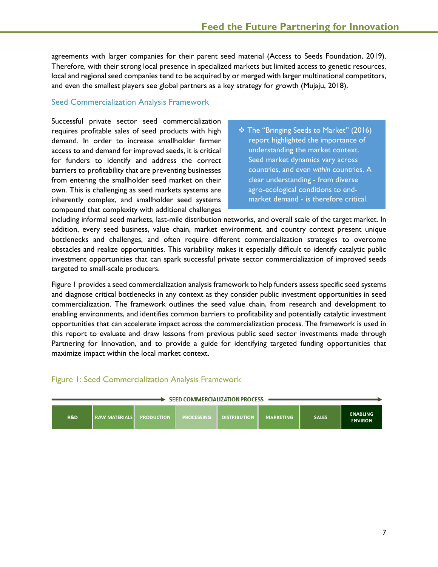agreements with larger companies for their parent seed material (Access to Seeds Foundation, 2019). Therefore, with their strong local presence in specialized markets but limited access to genetic resources, local and regional seed companies tend to be acquired by or merged with larger multinational competitors, and even the smallest players see global partners as a key strategy for growth (Mujaju, 2018).

#### <span id="page-6-0"></span>Seed Commercialization Analysis Framework

Successful private sector seed commercialization requires profitable sales of seed products with high demand. In order to increase smallholder farmer access to and demand for improved seeds, it is critical for funders to identify and address the correct barriers to profitability that are preventing businesses from entering the smallholder seed market on their own. This is challenging as seed markets systems are inherently complex, and smallholder seed systems compound that complexity with additional challenges

 The "Bringing Seeds to Market" (2016) report highlighted the importance of understanding the market context. Seed market dynamics vary across countries, and even *within* countries. A clear understanding - from diverse agro-ecological conditions to endmarket demand - is therefore critical.

including informal seed markets, last-mile distribution networks, and overall scale of the target market. In addition, every seed business, value chain, market environment, and country context present unique bottlenecks and challenges, and often require different commercialization strategies to overcome obstacles and realize opportunities. This variability makes it especially difficult to identify catalytic public investment opportunities that can spark successful private sector commercialization of improved seeds targeted to small-scale producers.

Figure 1 provides a seed commercialization analysis framework to help funders assess specific seed systems and diagnose critical bottlenecks in any context as they consider public investment opportunities in seed commercialization. The framework outlines the seed value chain, from research and development to enabling environments, and identifies common barriers to profitability and potentially catalytic investment opportunities that can accelerate impact across the commercialization process. The framework is used in this report to evaluate and draw lessons from previous public seed sector investments made through Partnering for Innovation, and to provide a guide for identifying targeted funding opportunities that maximize impact within the local market context.

# Figure 1: Seed Commercialization Analysis Framework

| <b>SEED COMMERCIALIZATION PROCESS</b> |                      |                   |                   |                     |                  |              |                                   |  |  |
|---------------------------------------|----------------------|-------------------|-------------------|---------------------|------------------|--------------|-----------------------------------|--|--|
| <b>R&amp;D</b>                        | <b>RAW MATERIALS</b> | <b>PRODUCTION</b> | <b>PROCESSING</b> | <b>DISTRIBUTION</b> | <b>MARKETING</b> | <b>SALES</b> | <b>ENABLING</b><br><b>ENVIRON</b> |  |  |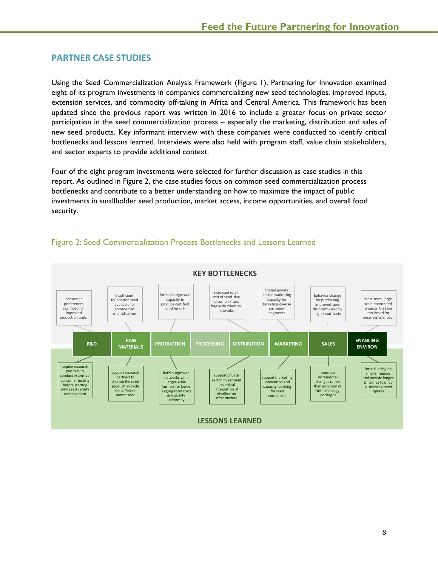# <span id="page-7-0"></span>**PARTNER CASE STUDIES**

Using the Seed Commercialization Analysis Framework (Figure 1), Partnering for Innovation examined eight of its program investments in companies commercializing new seed technologies, improved inputs, extension services, and commodity off-taking in Africa and Central America. This framework has been updated since the previous report was written in 2016 to include a greater focus on private sector participation in the seed commercialization process – especially the marketing, distribution and sales of new seed products. Key informant interview with these companies were conducted to identify critical bottlenecks and lessons learned. Interviews were also held with program staff, value chain stakeholders, and sector experts to provide additional context.

Four of the eight program investments were selected for further discussion as case studies in this report. As outlined in Figure 2, the case studies focus on common seed commercialization process bottlenecks and contribute to a better understanding on how to maximize the impact of public investments in smallholder seed production, market access, income opportunities, and overall food security.



# Figure 2: Seed Commercialization Process Bottlenecks and Lessons Learned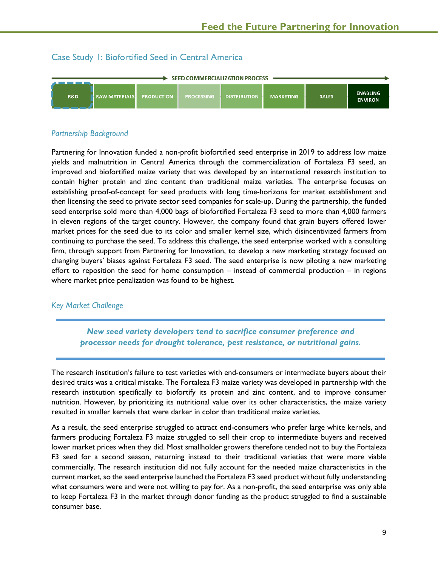# <span id="page-8-0"></span>Case Study 1: Biofortified Seed in Central America



# *Partnership Background*

Partnering for Innovation funded a non-profit biofortified seed enterprise in 2019 to address low maize yields and malnutrition in Central America through the commercialization of Fortaleza F3 seed, an improved and biofortified maize variety that was developed by an international research institution to contain higher protein and zinc content than traditional maize varieties. The enterprise focuses on establishing proof-of-concept for seed products with long time-horizons for market establishment and then licensing the seed to private sector seed companies for scale-up. During the partnership, the funded seed enterprise sold more than 4,000 bags of biofortified Fortaleza F3 seed to more than 4,000 farmers in eleven regions of the target country. However, the company found that grain buyers offered lower market prices for the seed due to its color and smaller kernel size, which disincentivized farmers from continuing to purchase the seed. To address this challenge, the seed enterprise worked with a consulting firm, through support from Partnering for Innovation, to develop a new marketing strategy focused on changing buyers' biases against Fortaleza F3 seed. The seed enterprise is now piloting a new marketing effort to reposition the seed for home consumption – instead of commercial production – in regions where market price penalization was found to be highest.

# *Key Market Challenge*

*New seed variety developers tend to sacrifice consumer preference and processor needs for drought tolerance, pest resistance, or nutritional gains.*

The research institution's failure to test varieties with end-consumers or intermediate buyers about their desired traits was a critical mistake. The Fortaleza F3 maize variety was developed in partnership with the research institution specifically to biofortify its protein and zinc content, and to improve consumer nutrition. However, by prioritizing its nutritional value over its other characteristics, the maize variety resulted in smaller kernels that were darker in color than traditional maize varieties.

As a result, the seed enterprise struggled to attract end-consumers who prefer large white kernels, and farmers producing Fortaleza F3 maize struggled to sell their crop to intermediate buyers and received lower market prices when they did. Most smallholder growers therefore tended not to buy the Fortaleza F3 seed for a second season, returning instead to their traditional varieties that were more viable commercially. The research institution did not fully account for the needed maize characteristics in the current market, so the seed enterprise launched the Fortaleza F3 seed product without fully understanding what consumers were and were not willing to pay for. As a non-profit, the seed enterprise was only able to keep Fortaleza F3 in the market through donor funding as the product struggled to find a sustainable consumer base.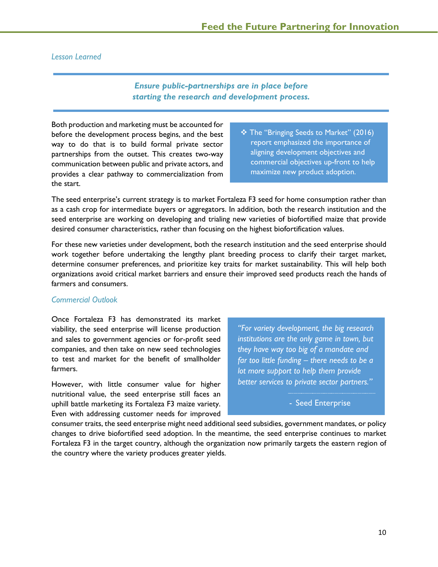#### *Lesson Learned*

# *Ensure public-partnerships are in place before starting the research and development process.*

Both production and marketing must be accounted for before the development process begins, and the best way to do that is to build formal private sector partnerships from the outset. This creates two-way communication between public and private actors, and provides a clear pathway to commercialization from the start.

 The "Bringing Seeds to Market" (2016) report emphasized the importance of aligning development objectives and commercial objectives up-front to help maximize new product adoption.

The seed enterprise's current strategy is to market Fortaleza F3 seed for home consumption rather than as a cash crop for intermediate buyers or aggregators. In addition, both the research institution and the seed enterprise are working on developing and trialing new varieties of biofortified maize that provide desired consumer characteristics, rather than focusing on the highest biofortification values.

For these new varieties under development, both the research institution and the seed enterprise should work together before undertaking the lengthy plant breeding process to clarify their target market, determine consumer preferences, and prioritize key traits for market sustainability. This will help both organizations avoid critical market barriers and ensure their improved seed products reach the hands of farmers and consumers.

#### *Commercial Outlook*

Once Fortaleza F3 has demonstrated its market viability, the seed enterprise will license production and sales to government agencies or for-profit seed companies, and then take on new seed technologies to test and market for the benefit of smallholder farmers.

However, with little consumer value for higher nutritional value, the seed enterprise still faces an uphill battle marketing its Fortaleza F3 maize variety. Even with addressing customer needs for improved

*"For variety development, the big research institutions are the only game in town, but they have way too big of a mandate and far too little funding – there needs to be a lot more support to help them provide better services to private sector partners."*

- Seed Enterprise

consumer traits, the seed enterprise might need additional seed subsidies, government mandates, or policy changes to drive biofortified seed adoption. In the meantime, the seed enterprise continues to market Fortaleza F3 in the target country, although the organization now primarily targets the eastern region of the country where the variety produces greater yields.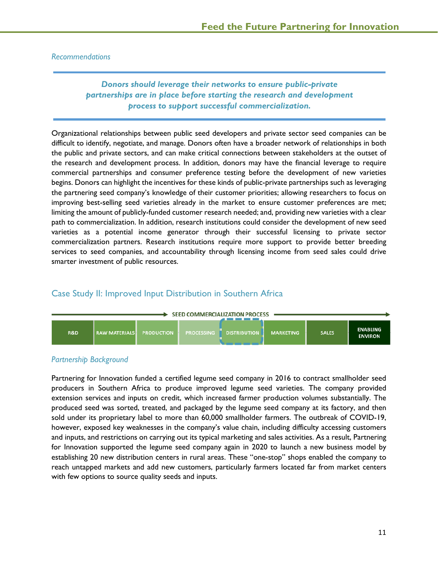#### *Recommendations*

# *Donors should leverage their networks to ensure public-private partnerships are in place before starting the research and development process to support successful commercialization.*

Organizational relationships between public seed developers and private sector seed companies can be difficult to identify, negotiate, and manage. Donors often have a broader network of relationships in both the public and private sectors, and can make critical connections between stakeholders at the outset of the research and development process. In addition, donors may have the financial leverage to require commercial partnerships and consumer preference testing before the development of new varieties begins. Donors can highlight the incentives for these kinds of public-private partnerships such as leveraging the partnering seed company's knowledge of their customer priorities; allowing researchers to focus on improving best-selling seed varieties already in the market to ensure customer preferences are met; limiting the amount of publicly-funded customer research needed; and, providing new varieties with a clear path to commercialization. In addition, research institutions could consider the development of new seed varieties as a potential income generator through their successful licensing to private sector commercialization partners. Research institutions require more support to provide better breeding services to seed companies, and accountability through licensing income from seed sales could drive smarter investment of public resources.

# <span id="page-10-0"></span>Case Study II: Improved Input Distribution in Southern Africa



#### *Partnership Background*

Partnering for Innovation funded a certified legume seed company in 2016 to contract smallholder seed producers in Southern Africa to produce improved legume seed varieties. The company provided extension services and inputs on credit, which increased farmer production volumes substantially. The produced seed was sorted, treated, and packaged by the legume seed company at its factory, and then sold under its proprietary label to more than 60,000 smallholder farmers. The outbreak of COVID-19, however, exposed key weaknesses in the company's value chain, including difficulty accessing customers and inputs, and restrictions on carrying out its typical marketing and sales activities. As a result, Partnering for Innovation supported the legume seed company again in 2020 to launch a new business model by establishing 20 new distribution centers in rural areas. These "one-stop" shops enabled the company to reach untapped markets and add new customers, particularly farmers located far from market centers with few options to source quality seeds and inputs.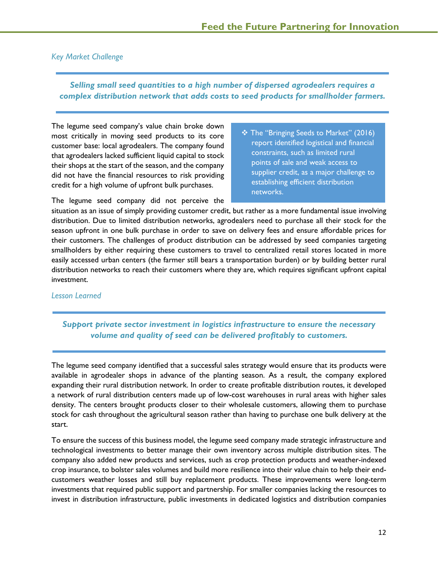# *Key Market Challenge*

# *Selling small seed quantities to a high number of dispersed agrodealers requires a complex distribution network that adds costs to seed products for smallholder farmers.*

The legume seed company's value chain broke down most critically in moving seed products to its core customer base: local agrodealers. The company found that agrodealers lacked sufficient liquid capital to stock their shops at the start of the season, and the company did not have the financial resources to risk providing credit for a high volume of upfront bulk purchases.

 The "Bringing Seeds to Market" (2016) report identified logistical and financial constraints, such as limited rural points of sale and weak access to supplier credit, as a major challenge to establishing efficient distribution networks.

The legume seed company did not perceive the

situation as an issue of simply providing customer credit, but rather as a more fundamental issue involving distribution. Due to limited distribution networks, agrodealers need to purchase all their stock for the season upfront in one bulk purchase in order to save on delivery fees and ensure affordable prices for their customers. The challenges of product distribution can be addressed by seed companies targeting smallholders by either requiring these customers to travel to centralized retail stores located in more easily accessed urban centers (the farmer still bears a transportation burden) or by building better rural distribution networks to reach their customers where they are, which requires significant upfront capital investment.

# *Lesson Learned*

# *Support private sector investment in logistics infrastructure to ensure the necessary volume and quality of seed can be delivered profitably to customers.*

The legume seed company identified that a successful sales strategy would ensure that its products were available in agrodealer shops in advance of the planting season. As a result, the company explored expanding their rural distribution network. In order to create profitable distribution routes, it developed a network of rural distribution centers made up of low-cost warehouses in rural areas with higher sales density. The centers brought products closer to their wholesale customers, allowing them to purchase stock for cash throughout the agricultural season rather than having to purchase one bulk delivery at the start.

To ensure the success of this business model, the legume seed company made strategic infrastructure and technological investments to better manage their own inventory across multiple distribution sites. The company also added new products and services, such as crop protection products and weather-indexed crop insurance, to bolster sales volumes and build more resilience into their value chain to help their endcustomers weather losses and still buy replacement products. These improvements were long-term investments that required public support and partnership. For smaller companies lacking the resources to invest in distribution infrastructure, public investments in dedicated logistics and distribution companies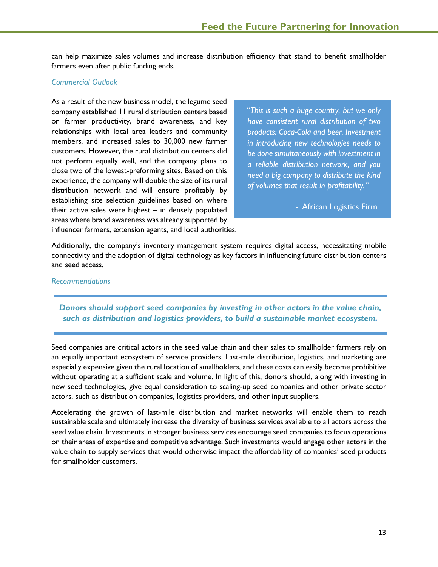can help maximize sales volumes and increase distribution efficiency that stand to benefit smallholder farmers even after public funding ends.

#### *Commercial Outlook*

As a result of the new business model, the legume seed company established 11 rural distribution centers based on farmer productivity, brand awareness, and key relationships with local area leaders and community members, and increased sales to 30,000 new farmer customers. However, the rural distribution centers did not perform equally well, and the company plans to close two of the lowest-preforming sites. Based on this experience, the company will double the size of its rural distribution network and will ensure profitably by establishing site selection guidelines based on where their active sales were highest – in densely populated areas where brand awareness was already supported by influencer farmers, extension agents, and local authorities.

*"This is such a huge country, but we only have consistent rural distribution of two products: Coca-Cola and beer. Investment in introducing new technologies needs to be done simultaneously with investment in a reliable distribution network, and you need a big company to distribute the kind of volumes that result in profitability."*

- African Logistics Firm

Additionally, the company's inventory management system requires digital access, necessitating mobile connectivity and the adoption of digital technology as key factors in influencing future distribution centers and seed access.

#### *Recommendations*

# *Donors should support seed companies by investing in other actors in the value chain, such as distribution and logistics providers, to build a sustainable market ecosystem.*

Seed companies are critical actors in the seed value chain and their sales to smallholder farmers rely on an equally important ecosystem of service providers. Last-mile distribution, logistics, and marketing are especially expensive given the rural location of smallholders, and these costs can easily become prohibitive without operating at a sufficient scale and volume. In light of this, donors should, along with investing in new seed technologies, give equal consideration to scaling-up seed companies and other private sector actors, such as distribution companies, logistics providers, and other input suppliers.

Accelerating the growth of last-mile distribution and market networks will enable them to reach sustainable scale and ultimately increase the diversity of business services available to all actors across the seed value chain. Investments in stronger business services encourage seed companies to focus operations on their areas of expertise and competitive advantage. Such investments would engage other actors in the value chain to supply services that would otherwise impact the affordability of companies' seed products for smallholder customers.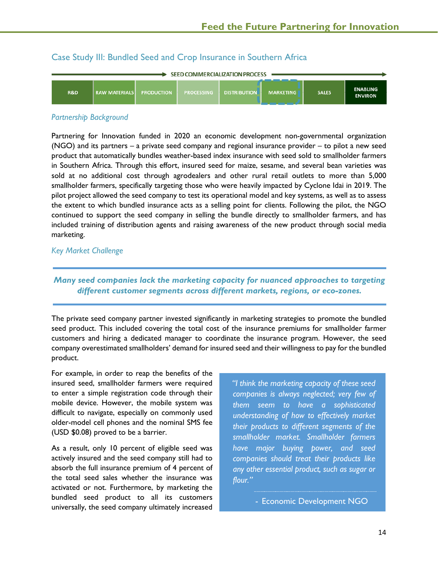# <span id="page-13-0"></span>Case Study III: Bundled Seed and Crop Insurance in Southern Africa

| SEED COMMERCIALIZATION PROCESS |                        |                   |                   |                     |                  |              |                                   |  |  |
|--------------------------------|------------------------|-------------------|-------------------|---------------------|------------------|--------------|-----------------------------------|--|--|
| <b>R&amp;D</b>                 | <b>I RAW MATERIALS</b> | <b>PRODUCTION</b> | <b>PROCESSING</b> | <b>DISTRIBUTION</b> | <b>MARKETING</b> | <b>SALES</b> | <b>ENABLING</b><br><b>ENVIRON</b> |  |  |

#### *Partnership Background*

Partnering for Innovation funded in 2020 an economic development non-governmental organization (NGO) and its partners – a private seed company and regional insurance provider – to pilot a new seed product that automatically bundles weather-based index insurance with seed sold to smallholder farmers in Southern Africa. Through this effort, insured seed for maize, sesame, and several bean varieties was sold at no additional cost through agrodealers and other rural retail outlets to more than 5,000 smallholder farmers, specifically targeting those who were heavily impacted by Cyclone Idai in 2019. The pilot project allowed the seed company to test its operational model and key systems, as well as to assess the extent to which bundled insurance acts as a selling point for clients. Following the pilot, the NGO continued to support the seed company in selling the bundle directly to smallholder farmers, and has included training of distribution agents and raising awareness of the new product through social media marketing.

#### *Key Market Challenge*

# *Many seed companies lack the marketing capacity for nuanced approaches to targeting different customer segments across different markets, regions, or eco-zones.*

The private seed company partner invested significantly in marketing strategies to promote the bundled seed product. This included covering the total cost of the insurance premiums for smallholder farmer customers and hiring a dedicated manager to coordinate the insurance program. However, the seed company overestimated smallholders' demand for insured seed and their willingness to pay for the bundled product.

For example, in order to reap the benefits of the insured seed, smallholder farmers were required to enter a simple registration code through their mobile device. However, the mobile system was difficult to navigate, especially on commonly used older-model cell phones and the nominal SMS fee (USD \$0.08) proved to be a barrier.

As a result, only 10 percent of eligible seed was actively insured and the seed company still had to absorb the full insurance premium of 4 percent of the total seed sales whether the insurance was activated or not. Furthermore, by marketing the bundled seed product to all its customers universally, the seed company ultimately increased *"I think the marketing capacity of these seed companies is always neglected; very few of them seem to have a sophisticated understanding of how to effectively market their products to different segments of the smallholder market. Smallholder farmers have major buying power, and seed companies should treat their products like any other essential product, such as sugar or flour."*

- Economic Development NGO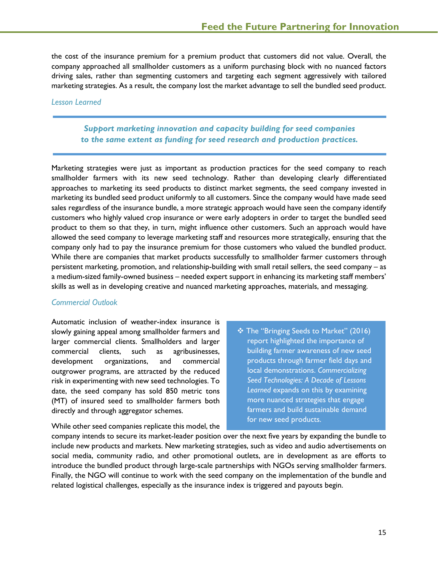the cost of the insurance premium for a premium product that customers did not value. Overall, the company approached all smallholder customers as a uniform purchasing block with no nuanced factors driving sales, rather than segmenting customers and targeting each segment aggressively with tailored marketing strategies. As a result, the company lost the market advantage to sell the bundled seed product.

#### *Lesson Learned*

# *Support marketing innovation and capacity building for seed companies to the same extent as funding for seed research and production practices.*

Marketing strategies were just as important as production practices for the seed company to reach smallholder farmers with its new seed technology. Rather than developing clearly differentiated approaches to marketing its seed products to distinct market segments, the seed company invested in marketing its bundled seed product uniformly to all customers. Since the company would have made seed sales regardless of the insurance bundle, a more strategic approach would have seen the company identify customers who highly valued crop insurance or were early adopters in order to target the bundled seed product to them so that they, in turn, might influence other customers. Such an approach would have allowed the seed company to leverage marketing staff and resources more strategically, ensuring that the company only had to pay the insurance premium for those customers who valued the bundled product. While there are companies that market products successfully to smallholder farmer customers through persistent marketing, promotion, and relationship-building with small retail sellers, the seed company – as a medium-sized family-owned business – needed expert support in enhancing its marketing staff members' skills as well as in developing creative and nuanced marketing approaches, materials, and messaging.

#### *Commercial Outlook*

Automatic inclusion of weather-index insurance is slowly gaining appeal among smallholder farmers and larger commercial clients. Smallholders and larger commercial clients, such as agribusinesses, development organizations, and commercial outgrower programs, are attracted by the reduced risk in experimenting with new seed technologies. To date, the seed company has sold 850 metric tons (MT) of insured seed to smallholder farmers both directly and through aggregator schemes.

 The "Bringing Seeds to Market" (2016) report highlighted the importance of building farmer awareness of new seed products through farmer field days and local demonstrations. *Commercializing Seed Technologies: A Decade of Lessons Learned* expands on this by examining more nuanced strategies that engage farmers and build sustainable demand for new seed products.

While other seed companies replicate this model, the

company intends to secure its market-leader position over the next five years by expanding the bundle to include new products and markets. New marketing strategies, such as video and audio advertisements on social media, community radio, and other promotional outlets, are in development as are efforts to introduce the bundled product through large-scale partnerships with NGOs serving smallholder farmers. Finally, the NGO will continue to work with the seed company on the implementation of the bundle and related logistical challenges, especially as the insurance index is triggered and payouts begin.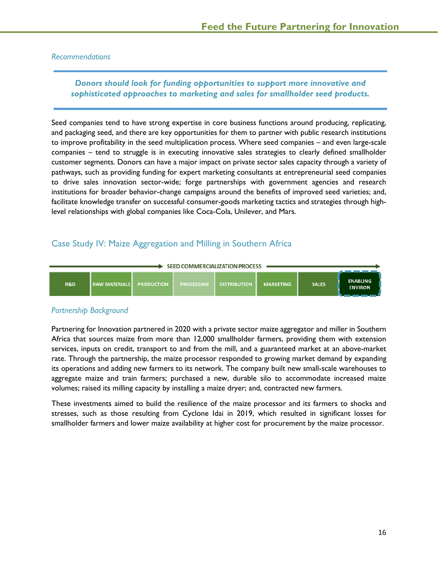#### *Recommendations*

# *Donors should look for funding opportunities to support more innovative and sophisticated approaches to marketing and sales for smallholder seed products.*

Seed companies tend to have strong expertise in core business functions around producing, replicating, and packaging seed, and there are key opportunities for them to partner with public research institutions to improve profitability in the seed multiplication process. Where seed companies – and even large-scale companies – tend to struggle is in executing innovative sales strategies to clearly defined smallholder customer segments. Donors can have a major impact on private sector sales capacity through a variety of pathways, such as providing funding for expert marketing consultants at entrepreneurial seed companies to drive sales innovation sector-wide; forge partnerships with government agencies and research institutions for broader behavior-change campaigns around the benefits of improved seed varieties; and, facilitate knowledge transfer on successful consumer-goods marketing tactics and strategies through highlevel relationships with global companies like Coca-Cola, Unilever, and Mars.

# <span id="page-15-0"></span>Case Study IV: Maize Aggregation and Milling in Southern Africa



# *Partnership Background*

Partnering for Innovation partnered in 2020 with a private sector maize aggregator and miller in Southern Africa that sources maize from more than 12,000 smallholder farmers, providing them with extension services, inputs on credit, transport to and from the mill, and a guaranteed market at an above-market rate. Through the partnership, the maize processor responded to growing market demand by expanding its operations and adding new farmers to its network. The company built new small-scale warehouses to aggregate maize and train farmers; purchased a new, durable silo to accommodate increased maize volumes; raised its milling capacity by installing a maize dryer; and, contracted new farmers.

These investments aimed to build the resilience of the maize processor and its farmers to shocks and stresses, such as those resulting from Cyclone Idai in 2019, which resulted in significant losses for smallholder farmers and lower maize availability at higher cost for procurement by the maize processor.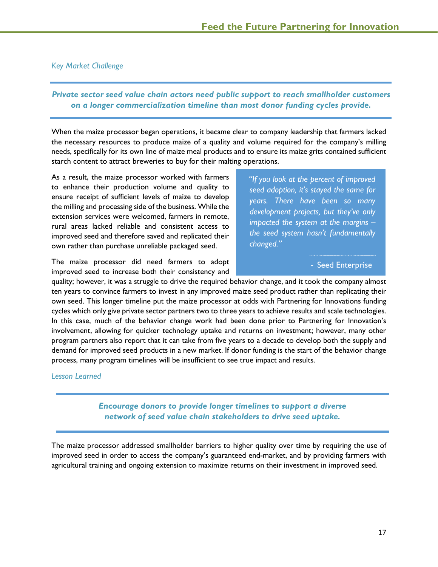# *Key Market Challenge*

# *Private sector seed value chain actors need public support to reach smallholder customers on a longer commercialization timeline than most donor funding cycles provide.*

When the maize processor began operations, it became clear to company leadership that farmers lacked the necessary resources to produce maize of a quality and volume required for the company's milling needs, specifically for its own line of maize meal products and to ensure its maize grits contained sufficient starch content to attract breweries to buy for their malting operations.

As a result, the maize processor worked with farmers to enhance their production volume and quality to ensure receipt of sufficient levels of maize to develop the milling and processing side of the business. While the extension services were welcomed, farmers in remote, rural areas lacked reliable and consistent access to improved seed and therefore saved and replicated their own rather than purchase unreliable packaged seed.

The maize processor did need farmers to adopt improved seed to increase both their consistency and *"If you look at the percent of improved seed adoption, it's stayed the same for years. There have been so many development projects, but they've only impacted the system at the margins – the seed system hasn't fundamentally changed."*

#### - Seed Enterprise

quality; however, it was a struggle to drive the required behavior change, and it took the company almost ten years to convince farmers to invest in any improved maize seed product rather than replicating their own seed. This longer timeline put the maize processor at odds with Partnering for Innovations funding cycles which only give private sector partners two to three years to achieve results and scale technologies. In this case, much of the behavior change work had been done prior to Partnering for Innovation's involvement, allowing for quicker technology uptake and returns on investment; however, many other program partners also report that it can take from five years to a decade to develop both the supply and demand for improved seed products in a new market. If donor funding is the start of the behavior change process, many program timelines will be insufficient to see true impact and results.

#### *Lesson Learned*

*Encourage donors to provide longer timelines to support a diverse network of seed value chain stakeholders to drive seed uptake.*

The maize processor addressed smallholder barriers to higher quality over time by requiring the use of improved seed in order to access the company's guaranteed end-market, and by providing farmers with agricultural training and ongoing extension to maximize returns on their investment in improved seed.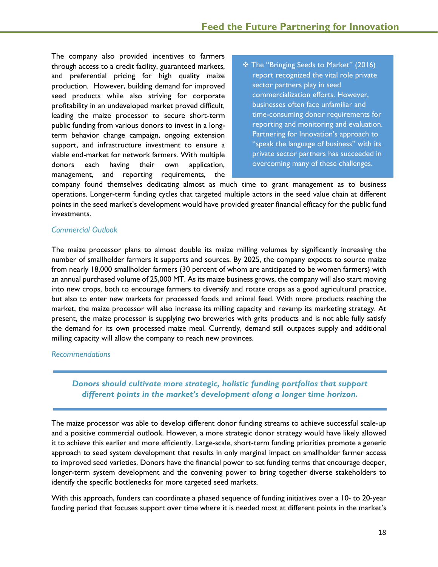The company also provided incentives to farmers through access to a credit facility, guaranteed markets, and preferential pricing for high quality maize production. However, building demand for improved seed products while also striving for corporate profitability in an undeveloped market proved difficult, leading the maize processor to secure short-term public funding from various donors to invest in a longterm behavior change campaign, ongoing extension support, and infrastructure investment to ensure a viable end-market for network farmers. With multiple donors each having their own application, management, and reporting requirements, the

 The "Bringing Seeds to Market" (2016) report recognized the vital role private sector partners play in seed commercialization efforts. However, businesses often face unfamiliar and time-consuming donor requirements for reporting and monitoring and evaluation. Partnering for Innovation's approach to "speak the language of business" with its private sector partners has succeeded in overcoming many of these challenges.

company found themselves dedicating almost as much time to grant management as to business operations. Longer-term funding cycles that targeted multiple actors in the seed value chain at different points in the seed market's development would have provided greater financial efficacy for the public fund investments.

# *Commercial Outlook*

The maize processor plans to almost double its maize milling volumes by significantly increasing the number of smallholder farmers it supports and sources. By 2025, the company expects to source maize from nearly 18,000 smallholder farmers (30 percent of whom are anticipated to be women farmers) with an annual purchased volume of 25,000 MT. As its maize business grows, the company will also start moving into new crops, both to encourage farmers to diversify and rotate crops as a good agricultural practice, but also to enter new markets for processed foods and animal feed. With more products reaching the market, the maize processor will also increase its milling capacity and revamp its marketing strategy. At present, the maize processor is supplying two breweries with grits products and is not able fully satisfy the demand for its own processed maize meal. Currently, demand still outpaces supply and additional milling capacity will allow the company to reach new provinces.

#### *Recommendations*

# *Donors should cultivate more strategic, holistic funding portfolios that support different points in the market's development along a longer time horizon.*

The maize processor was able to develop different donor funding streams to achieve successful scale-up and a positive commercial outlook. However, a more strategic donor strategy would have likely allowed it to achieve this earlier and more efficiently. Large-scale, short-term funding priorities promote a generic approach to seed system development that results in only marginal impact on smallholder farmer access to improved seed varieties. Donors have the financial power to set funding terms that encourage deeper, longer-term system development and the convening power to bring together diverse stakeholders to identify the specific bottlenecks for more targeted seed markets.

With this approach, funders can coordinate a phased sequence of funding initiatives over a 10- to 20-year funding period that focuses support over time where it is needed most at different points in the market's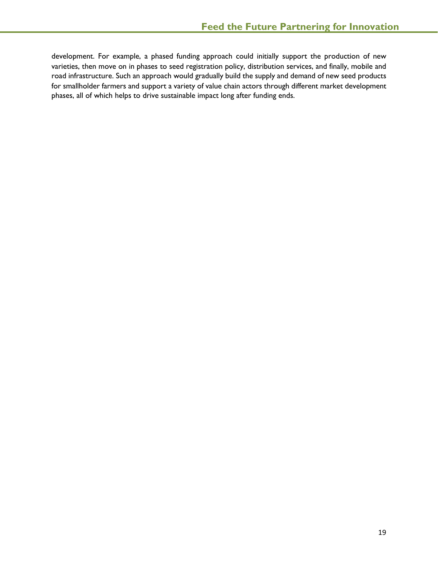development. For example, a phased funding approach could initially support the production of new varieties, then move on in phases to seed registration policy, distribution services, and finally, mobile and road infrastructure. Such an approach would gradually build the supply and demand of new seed products for smallholder farmers and support a variety of value chain actors through different market development phases, all of which helps to drive sustainable impact long after funding ends.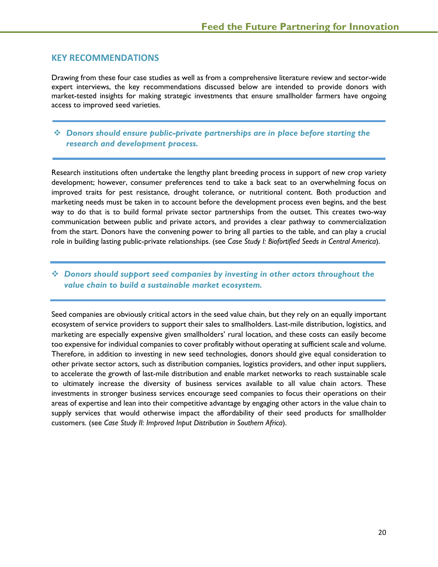# <span id="page-19-0"></span>**KEY RECOMMENDATIONS**

Drawing from these four case studies as well as from a comprehensive literature review and sector-wide expert interviews, the key recommendations discussed below are intended to provide donors with market-tested insights for making strategic investments that ensure smallholder farmers have ongoing access to improved seed varieties.

# *Donors should ensure public-private partnerships are in place before starting the research and development process.*

Research institutions often undertake the lengthy plant breeding process in support of new crop variety development; however, consumer preferences tend to take a back seat to an overwhelming focus on improved traits for pest resistance, drought tolerance, or nutritional content. Both production and marketing needs must be taken in to account before the development process even begins, and the best way to do that is to build formal private sector partnerships from the outset. This creates two-way communication between public and private actors, and provides a clear pathway to commercialization from the start. Donors have the convening power to bring all parties to the table, and can play a crucial role in building lasting public-private relationships. (see *Case Study I: Biofortified Seeds in Central America*).

# *Donors should support seed companies by investing in other actors throughout the value chain to build a sustainable market ecosystem.*

Seed companies are obviously critical actors in the seed value chain, but they rely on an equally important ecosystem of service providers to support their sales to smallholders. Last-mile distribution, logistics, and marketing are especially expensive given smallholders' rural location, and these costs can easily become too expensive for individual companies to cover profitably without operating at sufficient scale and volume. Therefore, in addition to investing in new seed technologies, donors should give equal consideration to other private sector actors, such as distribution companies, logistics providers, and other input suppliers, to accelerate the growth of last-mile distribution and enable market networks to reach sustainable scale to ultimately increase the diversity of business services available to all value chain actors. These investments in stronger business services encourage seed companies to focus their operations on their areas of expertise and lean into their competitive advantage by engaging other actors in the value chain to supply services that would otherwise impact the affordability of their seed products for smallholder customers. (see *Case Study II: Improved Input Distribution in Southern Africa*).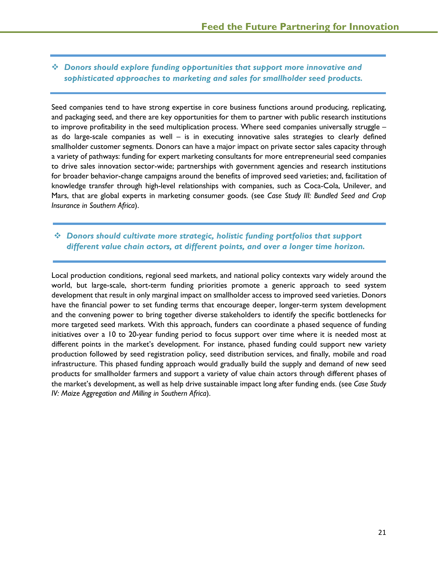# *Donors should explore funding opportunities that support more innovative and sophisticated approaches to marketing and sales for smallholder seed products.*

Seed companies tend to have strong expertise in core business functions around producing, replicating, and packaging seed, and there are key opportunities for them to partner with public research institutions to improve profitability in the seed multiplication process. Where seed companies universally struggle – as do large-scale companies as well – is in executing innovative sales strategies to clearly defined smallholder customer segments. Donors can have a major impact on private sector sales capacity through a variety of pathways: funding for expert marketing consultants for more entrepreneurial seed companies to drive sales innovation sector-wide; partnerships with government agencies and research institutions for broader behavior-change campaigns around the benefits of improved seed varieties; and, facilitation of knowledge transfer through high-level relationships with companies, such as Coca-Cola, Unilever, and Mars, that are global experts in marketing consumer goods. (see *Case Study III: Bundled Seed and Crop Insurance in Southern Africa*).

# *Donors should cultivate more strategic, holistic funding portfolios that support different value chain actors, at different points, and over a longer time horizon.*

Local production conditions, regional seed markets, and national policy contexts vary widely around the world, but large-scale, short-term funding priorities promote a generic approach to seed system development that result in only marginal impact on smallholder access to improved seed varieties. Donors have the financial power to set funding terms that encourage deeper, longer-term system development and the convening power to bring together diverse stakeholders to identify the specific bottlenecks for more targeted seed markets. With this approach, funders can coordinate a phased sequence of funding initiatives over a 10 to 20-year funding period to focus support over time where it is needed most at different points in the market's development. For instance, phased funding could support new variety production followed by seed registration policy, seed distribution services, and finally, mobile and road infrastructure. This phased funding approach would gradually build the supply and demand of new seed products for smallholder farmers and support a variety of value chain actors through different phases of the market's development, as well as help drive sustainable impact long after funding ends. (see *Case Study IV: Maize Aggregation and Milling in Southern Africa*).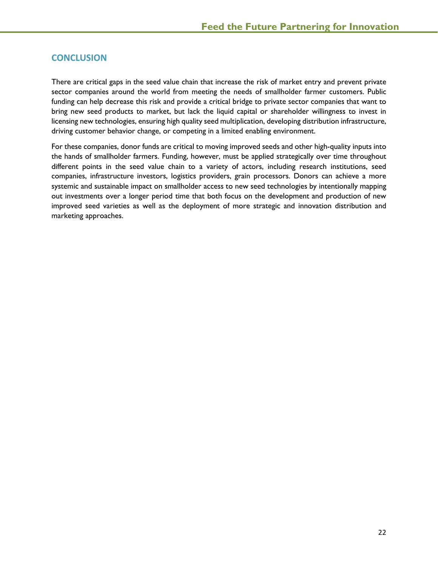# <span id="page-21-0"></span>**CONCLUSION**

There are critical gaps in the seed value chain that increase the risk of market entry and prevent private sector companies around the world from meeting the needs of smallholder farmer customers. Public funding can help decrease this risk and provide a critical bridge to private sector companies that want to bring new seed products to market, but lack the liquid capital or shareholder willingness to invest in licensing new technologies, ensuring high quality seed multiplication, developing distribution infrastructure, driving customer behavior change, or competing in a limited enabling environment.

For these companies, donor funds are critical to moving improved seeds and other high-quality inputs into the hands of smallholder farmers. Funding, however, must be applied strategically over time throughout different points in the seed value chain to a variety of actors, including research institutions, seed companies, infrastructure investors, logistics providers, grain processors. Donors can achieve a more systemic and sustainable impact on smallholder access to new seed technologies by intentionally mapping out investments over a longer period time that both focus on the development and production of new improved seed varieties as well as the deployment of more strategic and innovation distribution and marketing approaches.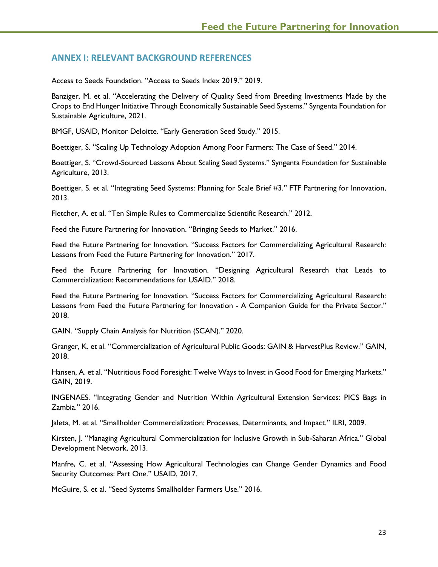# <span id="page-22-0"></span>**ANNEX I: RELEVANT BACKGROUND REFERENCES**

Access to Seeds Foundation. "Access to Seeds Index 2019." 2019.

Banziger, M. et al. "Accelerating the Delivery of Quality Seed from Breeding Investments Made by the Crops to End Hunger Initiative Through Economically Sustainable Seed Systems." Syngenta Foundation for Sustainable Agriculture, 2021.

BMGF, USAID, Monitor Deloitte. "Early Generation Seed Study." 2015.

Boettiger, S. "Scaling Up Technology Adoption Among Poor Farmers: The Case of Seed." 2014.

Boettiger, S. "Crowd-Sourced Lessons About Scaling Seed Systems." Syngenta Foundation for Sustainable Agriculture, 2013.

Boettiger, S. et al. "Integrating Seed Systems: Planning for Scale Brief #3." FTF Partnering for Innovation, 2013.

Fletcher, A. et al. "Ten Simple Rules to Commercialize Scientific Research." 2012.

Feed the Future Partnering for Innovation. "Bringing Seeds to Market." 2016.

Feed the Future Partnering for Innovation. "Success Factors for Commercializing Agricultural Research: Lessons from Feed the Future Partnering for Innovation." 2017.

Feed the Future Partnering for Innovation. "Designing Agricultural Research that Leads to Commercialization: Recommendations for USAID." 2018.

Feed the Future Partnering for Innovation. "Success Factors for Commercializing Agricultural Research: Lessons from Feed the Future Partnering for Innovation - A Companion Guide for the Private Sector." 2018.

GAIN. "Supply Chain Analysis for Nutrition (SCAN)." 2020.

Granger, K. et al. "Commercialization of Agricultural Public Goods: GAIN & HarvestPlus Review." GAIN, 2018.

Hansen, A. et al. "Nutritious Food Foresight: Twelve Ways to Invest in Good Food for Emerging Markets." GAIN, 2019.

INGENAES. "Integrating Gender and Nutrition Within Agricultural Extension Services: PICS Bags in Zambia." 2016.

Jaleta, M. et al. "Smallholder Commercialization: Processes, Determinants, and Impact." ILRI, 2009.

Kirsten, J. "Managing Agricultural Commercialization for Inclusive Growth in Sub-Saharan Africa." Global Development Network, 2013.

Manfre, C. et al. "Assessing How Agricultural Technologies can Change Gender Dynamics and Food Security Outcomes: Part One." USAID, 2017.

McGuire, S. et al. "Seed Systems Smallholder Farmers Use." 2016.